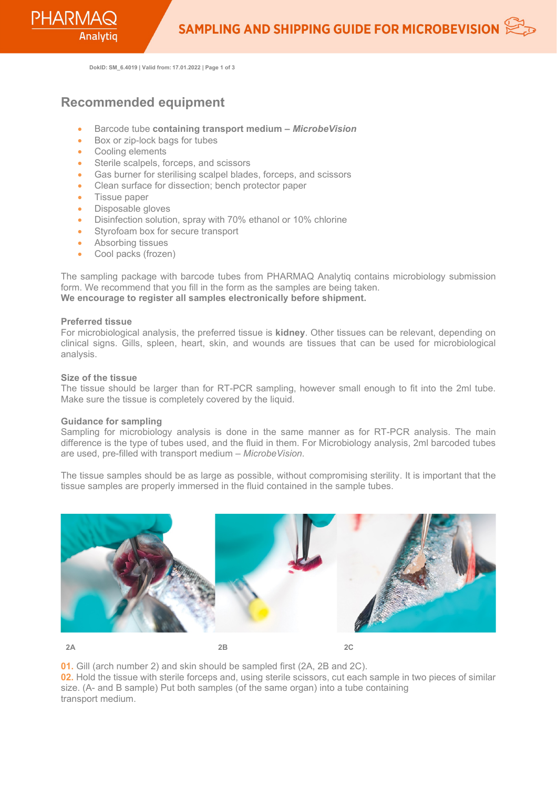**DokID: SM\_6.4019 | Valid from: 17.01.2022 | Page 1 of 3**

# **Recommended equipment**

- Barcode tube **containing transport medium –** *MicrobeVision*
- Box or zip-lock bags for tubes
- Cooling elements
- Sterile scalpels, forceps, and scissors
- Gas burner for sterilising scalpel blades, forceps, and scissors
- Clean surface for dissection; bench protector paper
- Tissue paper
- Disposable gloves
- Disinfection solution, spray with 70% ethanol or 10% chlorine
- Styrofoam box for secure transport
- Absorbing tissues
- Cool packs (frozen)

The sampling package with barcode tubes from PHARMAQ Analytiq contains microbiology submission form. We recommend that you fill in the form as the samples are being taken. **We encourage to register all samples electronically before shipment.**

## **Preferred tissue**

For microbiological analysis, the preferred tissue is **kidney**. Other tissues can be relevant, depending on clinical signs. Gills, spleen, heart, skin, and wounds are tissues that can be used for microbiological analysis.

#### **Size of the tissue**

The tissue should be larger than for RT-PCR sampling, however small enough to fit into the 2ml tube. Make sure the tissue is completely covered by the liquid.

#### **Guidance for sampling**

Sampling for microbiology analysis is done in the same manner as for RT-PCR analysis. The main difference is the type of tubes used, and the fluid in them. For Microbiology analysis, 2ml barcoded tubes are used, pre-filled with transport medium – *MicrobeVision*.

The tissue samples should be as large as possible, without compromising sterility. It is important that the tissue samples are properly immersed in the fluid contained in the sample tubes.



**2A 2B 2C**

**01.** Gill (arch number 2) and skin should be sampled first (2A, 2B and 2C).

**02.** Hold the tissue with sterile forceps and, using sterile scissors, cut each sample in two pieces of similar size. (A- and B sample) Put both samples (of the same organ) into a tube containing transport medium.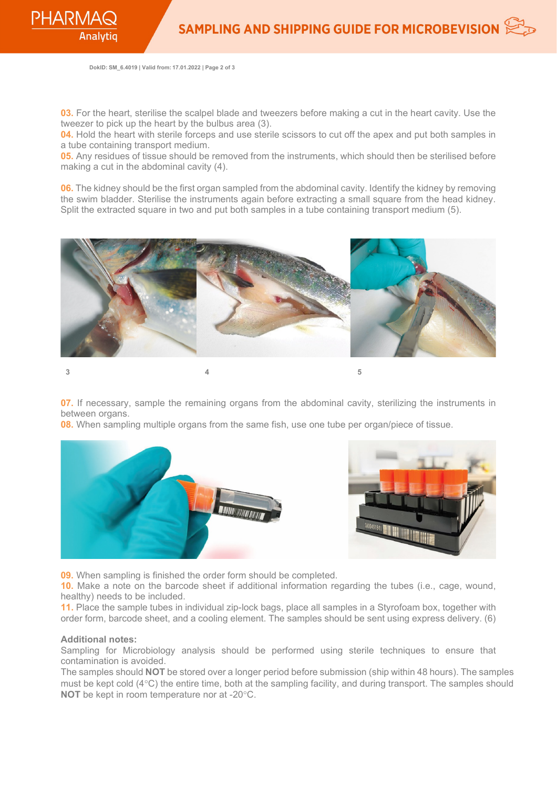**DokID: SM\_6.4019 | Valid from: 17.01.2022 | Page 2 of 3**

**03.** For the heart, sterilise the scalpel blade and tweezers before making a cut in the heart cavity. Use the tweezer to pick up the heart by the bulbus area (3).

**04.** Hold the heart with sterile forceps and use sterile scissors to cut off the apex and put both samples in a tube containing transport medium.

**05.** Any residues of tissue should be removed from the instruments, which should then be sterilised before making a cut in the abdominal cavity (4).

**06.** The kidney should be the first organ sampled from the abdominal cavity. Identify the kidney by removing the swim bladder. Sterilise the instruments again before extracting a small square from the head kidney. Split the extracted square in two and put both samples in a tube containing transport medium (5).



**07.** If necessary, sample the remaining organs from the abdominal cavity, sterilizing the instruments in between organs.

**08.** When sampling multiple organs from the same fish, use one tube per organ/piece of tissue.



**09.** When sampling is finished the order form should be completed.

**10.** Make a note on the barcode sheet if additional information regarding the tubes (i.e., cage, wound, healthy) needs to be included.

**11.** Place the sample tubes in individual zip-lock bags, place all samples in a Styrofoam box, together with order form, barcode sheet, and a cooling element. The samples should be sent using express delivery. (6)

## **Additional notes:**

Sampling for Microbiology analysis should be performed using sterile techniques to ensure that contamination is avoided.

The samples should **NOT** be stored over a longer period before submission (ship within 48 hours). The samples must be kept cold (4°C) the entire time, both at the sampling facility, and during transport. The samples should **NOT** be kept in room temperature nor at -20°C.